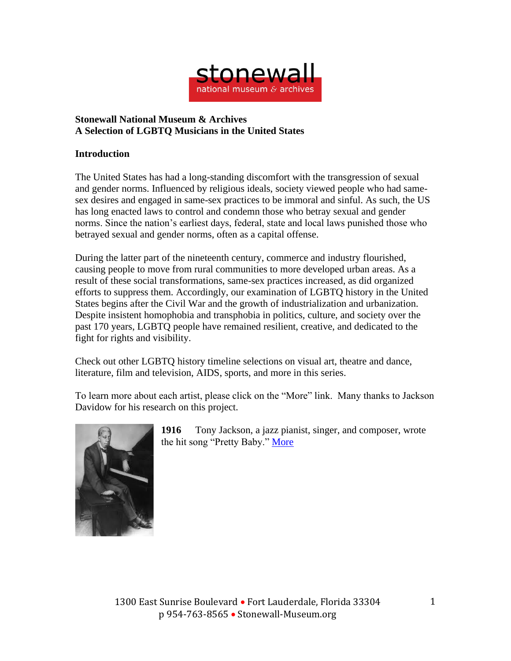

## **Stonewall National Museum & Archives A Selection of LGBTQ Musicians in the United States**

## **Introduction**

The United States has had a long-standing discomfort with the transgression of sexual and gender norms. Influenced by religious ideals, society viewed people who had samesex desires and engaged in same-sex practices to be immoral and sinful. As such, the US has long enacted laws to control and condemn those who betray sexual and gender norms. Since the nation's earliest days, federal, state and local laws punished those who betrayed sexual and gender norms, often as a capital offense.

During the latter part of the nineteenth century, commerce and industry flourished, causing people to move from rural communities to more developed urban areas. As a result of these social transformations, same-sex practices increased, as did organized efforts to suppress them. Accordingly, our examination of LGBTQ history in the United States begins after the Civil War and the growth of industrialization and urbanization. Despite insistent homophobia and transphobia in politics, culture, and society over the past 170 years, LGBTQ people have remained resilient, creative, and dedicated to the fight for rights and visibility.

Check out other LGBTQ history timeline selections on visual art, theatre and dance, literature, film and television, AIDS, sports, and more in this series.

To learn more about each artist, please click on the "More" link. Many thanks to Jackson Davidow for his research on this project.



**1916** Tony Jackson, a jazz pianist, singer, and composer, wrote the hit song "Pretty Baby." [More](https://tidal.com/magazine/article/jazz-lgbtq-roots/1-73347)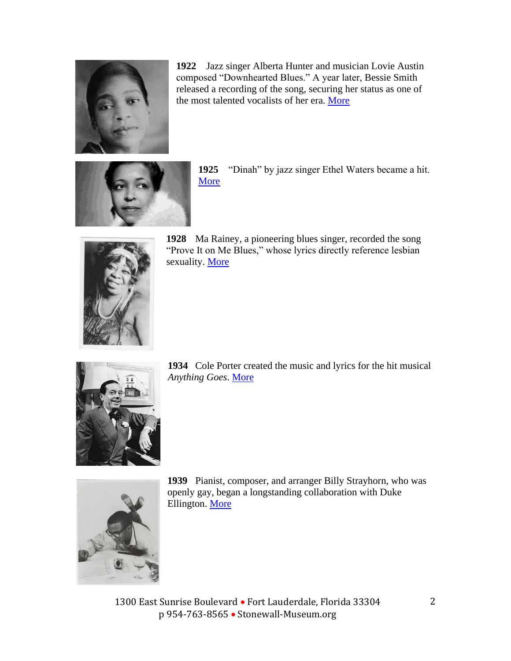

**1922** Jazz singer Alberta Hunter and musician Lovie Austin composed "Downhearted Blues." A year later, Bessie Smith released a recording of the song, securing her status as one of the most talented vocalists of her era. [More](https://www.historicalhomos.com/cumming-to-you-live/bisexual-blues)



**1925** "Dinah" by jazz singer Ethel Waters became a hit. **[More](https://www.nypl.org/blog/2018/08/29/joy-out-fire-ethel-waters)** 



**1928** Ma Rainey, a pioneering blues singer, recorded the song "Prove It on Me Blues," whose lyrics directly reference lesbian sexuality. [More](https://www.nytimes.com/2019/06/12/obituaries/ma-rainey-overlooked.html)



**1934** Cole Porter created the music and lyrics for the hit musical *Anything Goes*. [More](https://www.smithsonianmag.com/arts-culture/what-is-this-thing-called-love-2336684/)



**1939** Pianist, composer, and arranger Billy Strayhorn, who was openly gay, began a longstanding collaboration with Duke Ellington. [More](http://thedukeellingtonsociety.org/duke-ellington--billy-strayhorn.html)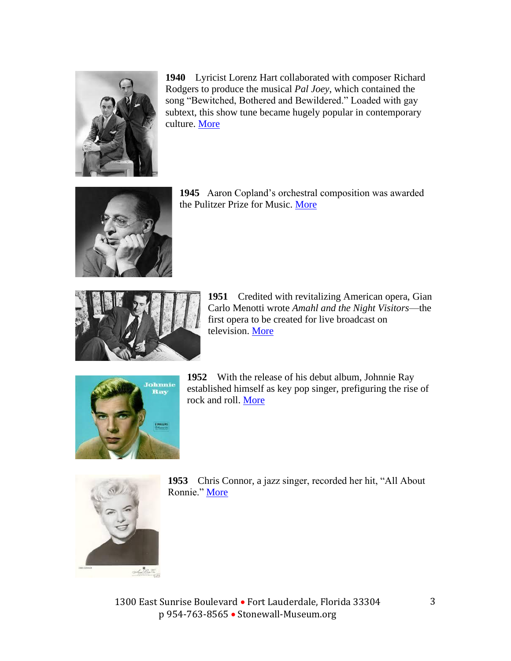

**1940** Lyricist Lorenz Hart collaborated with composer Richard Rodgers to produce the musical *Pal Joey*, which contained the song "Bewitched, Bothered and Bewildered." Loaded with gay subtext, this show tune became hugely popular in contemporary culture. [More](https://www.bbc.co.uk/programmes/p05b5wtj)



**1945** Aaron Copland's orchestral composition was awarded the Pulitzer Prize for Music. [More](https://www.npr.org/2000/11/13/1113916/npr-100-i-appalachian-spring-i)



**1951** Credited with revitalizing American opera, Gian Carlo Menotti wrote *Amahl and the Night Visitors*—the first opera to be created for live broadcast on television. [More](https://www.wqxr.org/story/musical-love-letters-dedications-lgbt-composers/)



**1952** With the release of his debut album, Johnnie Ray established himself as key pop singer, prefiguring the rise of rock and roll. [More](https://ukdhm.org/johnnie-ray-1927-1990-hearing-impaired-pop-singer-1950s/)





1300 East Sunrise Boulevard • Fort Lauderdale, Florida 33304 p 954-763-8565 • Stonewall-Museum.org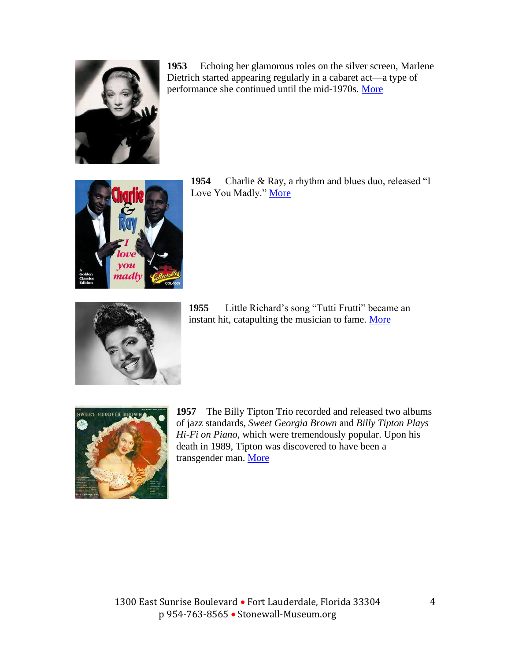

**1953** Echoing her glamorous roles on the silver screen, Marlene Dietrich started appearing regularly in a cabaret act—a type of performance she continued until the mid-1970s. [More](https://www.smithsonianmag.com/smithsonian-institution/pioneering-androgyny-classic-hollywood-star-marlene-dietrich-180963842/)



**1954** Charlie & Ray, a rhythm and blues duo, released "I Love You Madly." [More](https://www.youtube.com/watch?v=jKOfPJ_vSHU)



**1955** Little Richard's song "Tutti Frutti" became an instant hit, catapulting the musician to fame. [More](https://www.theguardian.com/music/2020/may/12/too-black-queer-holy-why-little-richard-never-truly-got-his-dues-turbaned-drag-queen-sexual-underworld)



**1957** The Billy Tipton Trio recorded and released two albums of jazz standards, *Sweet Georgia Brown* and *Billy Tipton Plays Hi-Fi on Piano*, which were tremendously popular. Upon his death in 1989, Tipton was discovered to have been a transgender man. [More](https://www.local802afm.org/allegro/articles/the-double-life-of-billy-tipton/)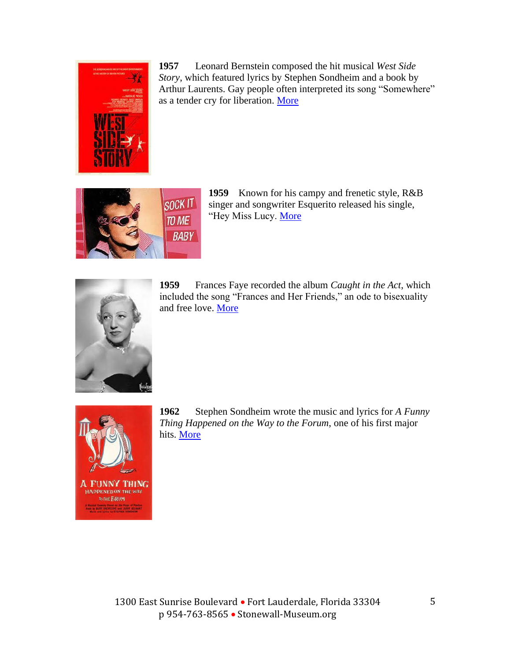

**1957** Leonard Bernstein composed the hit musical *West Side Story*, which featured lyrics by Stephen Sondheim and a book by Arthur Laurents. Gay people often interpreted its song "Somewhere" as a tender cry for liberation. [More](https://www.theguardian.com/music/2019/aug/17/leonard-bernstein-japanese-love-letters-hashimoto)



**1959** Known for his campy and frenetic style, R&B singer and songwriter Esquerito released his single, "Hey Miss Lucy. [More](https://www.popmatters.com/esquerita-originator-of-rocknroll-camp-2496134735.html)



**1959** Frances Faye recorded the album *Caught in the Act*, which included the song "Frances and Her Friends," an ode to bisexuality and free love. [More](https://www.youtube.com/watch?v=WW3vkfSuchU)



**1962** Stephen Sondheim wrote the music and lyrics for *A Funny Thing Happened on the Way to the Forum*, one of his first major hits. [More](https://www.playbill.com/article/look-back-at-the-original-production-of-a-funny-thing-happened-on-the-way-to-the-forum)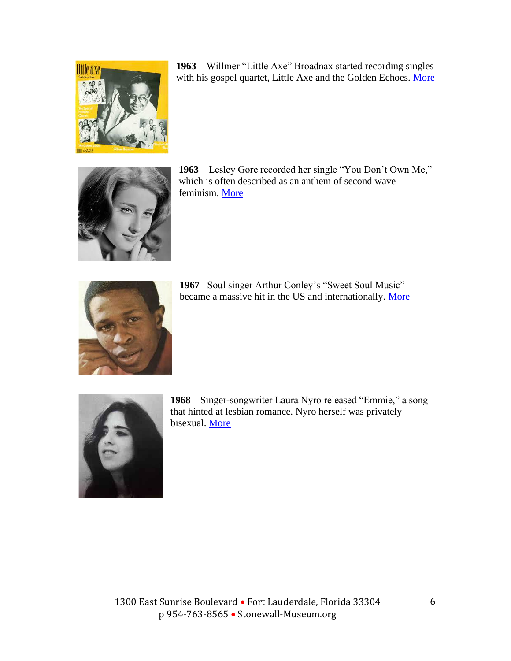

**1963** Willmer "Little Axe" Broadnax started recording singles with his gospel quartet, Little Axe and the Golden Echoes. [More](https://ew.com/article/2016/03/01/little-axe-transgender-gospel-singer-short-film/)



**1963** Lesley Gore recorded her single "You Don't Own Me," which is often described as an anthem of second wave feminism. [More](https://www.npr.org/2019/06/26/735819094/lesley-gore-you-dont-own-me-american-anthem)



1967 Soul singer Arthur Conley's "Sweet Soul Music" became a massive hit in the US and internationally. [More](https://www.youtube.com/watch?v=grE0lwTsSPg)



**1968** Singer-songwriter Laura Nyro released "Emmie," a song that hinted at lesbian romance. Nyro herself was privately bisexual. [More](https://legacyprojectchicago.org/person/laura-nyro)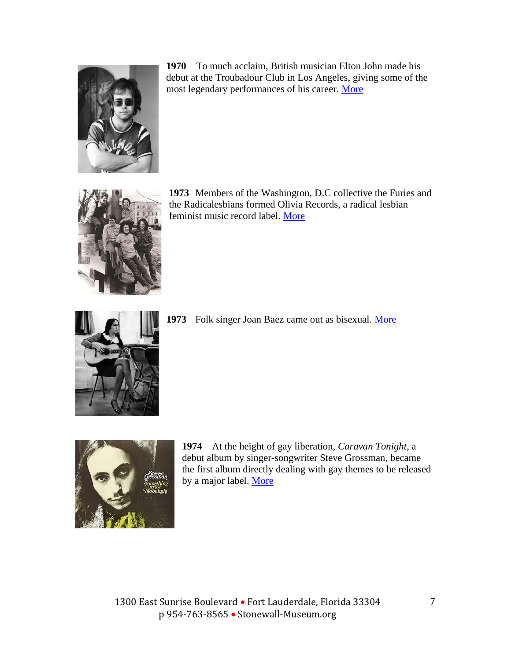

**1970** To much acclaim, British musician Elton John made his debut at the Troubadour Club in Los Angeles, giving some of the most legendary performances of his career. [More](https://www.smoothradio.com/artists/elton-john/troubadour-gigs-interview-50-years-later/#:~:text=act%2C%20Neil%20Diamond.-,Elton%20John%20and%20a%20%22gang%22%20of%20friends%20including%20Bernie%20Taupin,L.A.%20on%20August%2025%2C%201970.)



**1973** Members of the Washington, D.C collective the Furies and the Radicalesbians formed Olivia Records, a radical lesbian feminist music record label. [More](https://www.nytimes.com/2020/06/23/arts/music/olivia-records-lesbian-playlist.html)



**1973** Folk singer Joan Baez came out as bisexual. [More](https://www.rollingstone.com/music/music-features/joan-baez-the-rolling-stone-interview-71113/)



**1974** At the height of gay liberation, *Caravan Tonight*, a debut album by singer-songwriter Steve Grossman, became the first album directly dealing with gay themes to be released by a major label. [More](http://jamesgavin.com/page42/page187/page187.html)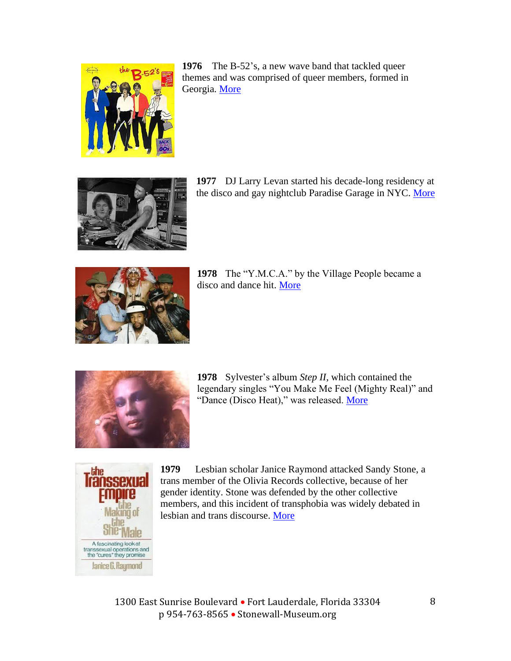





**1977** DJ Larry Levan started his decade-long residency at the disco and gay nightclub Paradise Garage in NYC. [More](https://defected.com/news/post/13-tracks-define-larry-levan)



**1978** The "Y.M.C.A." by the Village People became a disco and dance hit. [More](https://www.goldminemag.com/articles/story-behind-y-m-c)



**1978** Sylvester's album *Step II*, which contained the legendary singles "You Make Me Feel (Mighty Real)" and "Dance (Disco Heat)," was released. [More](https://www.villagevoice.com/2020/06/22/sylvester-staying-alive/)



**1979** Lesbian scholar Janice Raymond attacked Sandy Stone, a trans member of the Olivia Records collective, because of her gender identity. Stone was defended by the other collective members, and this incident of transphobia was widely debated in lesbian and trans discourse. [More](https://www.vice.com/en/article/zmd5k5/sandy-stone-biography-transgender-history)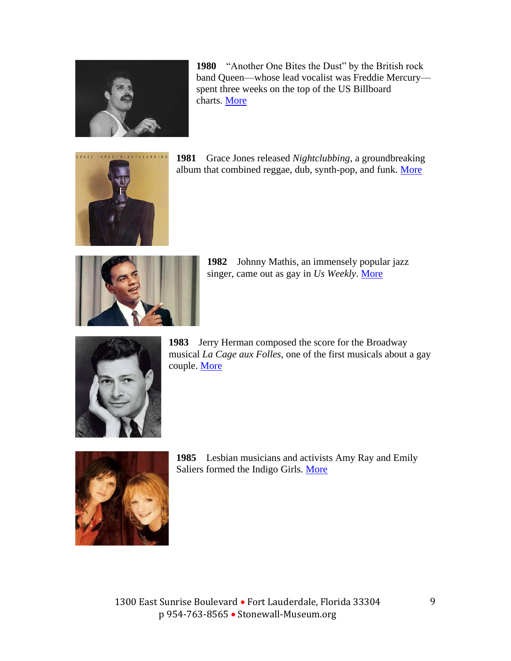

**1980** "Another One Bites the Dust" by the British rock band Queen—whose lead vocalist was Freddie Mercury spent three weeks on the top of the US Billboard charts. [More](https://medium.com/cuepoint/the-game-how-queen-conquered-and-lost-america-a3c48103ac62)



**1981** Grace Jones released *Nightclubbing*, a groundbreaking album that combined reggae, dub, synth-pop, and funk. [More](https://pitchfork.com/reviews/albums/19222-grace-jones-nightclubbing-deluxe-edition/)



**1982** Johnny Mathis, an immensely popular jazz singer, came out as gay in *Us Weekly*. [More](https://www.billboard.com/articles/news/magazine-feature/7617724/johnny-mathis-anniversary-interview)



**1983** Jerry Herman composed the score for the Broadway musical *La Cage aux Folles*, one of the first musicals about a gay couple. [More](https://www.playbill.com/article/look-back-at-the-original-broadway-production-of-la-cage-aux-folles)



**1985** Lesbian musicians and activists Amy Ray and Emily Saliers formed the Indigo Girls. [More](https://www.npr.org/2020/05/21/858267498/the-countermelodies-that-changed-us-a-lifetime-of-loving-indigo-girls)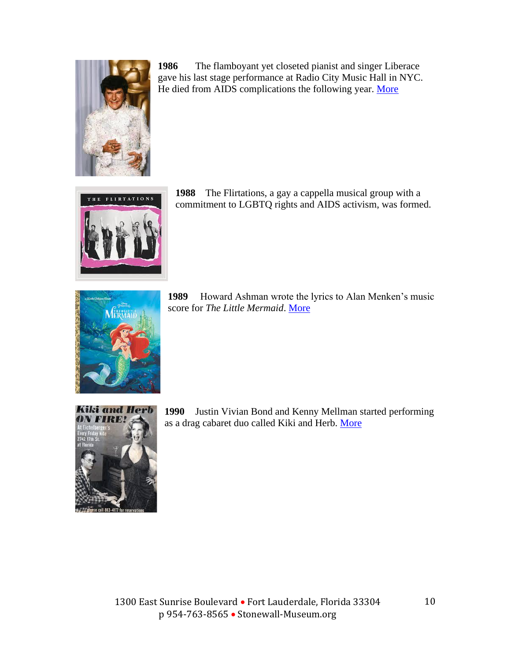

**1986** The flamboyant yet closeted pianist and singer Liberace gave his last stage performance at Radio City Music Hall in NYC. He died from AIDS complications the following year. [More](https://press.uchicago.edu/Misc/Chicago/686671.html)



**1988** The Flirtations, a gay a cappella musical group with a commitment to LGBTQ rights and AIDS activism, was formed.



**1989** Howard Ashman wrote the lyrics to Alan Menken's music score for *The Little Mermaid*. [More](https://www.vanityfair.com/hollywood/2018/04/howard-ashman-documentary-disney-beauty-and-the-beast-little-mermaid-aladdin-alan-menken)



**1990** Justin Vivian Bond and Kenny Mellman started performing as a drag cabaret duo called Kiki and Herb. [More](https://www.talkhouse.com/kenny-mellman-needed-revive-kiki-herb/)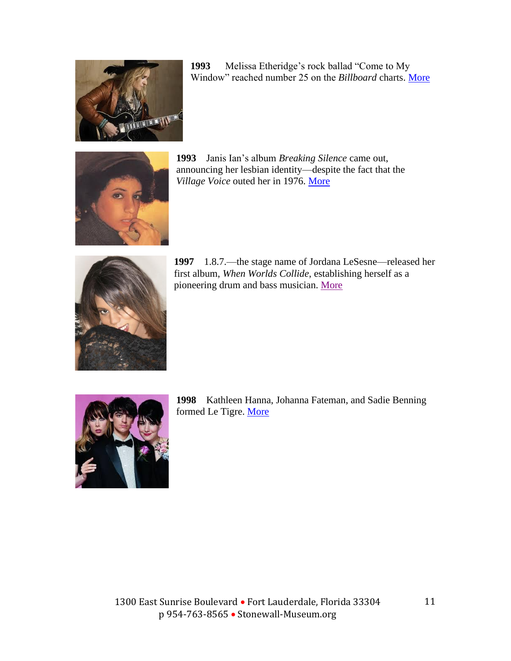

**1993** Melissa Etheridge's rock ballad "Come to My Window" reached number 25 on the *Billboard* charts. [More](https://www.billboard.com/articles/news/pride/8476300/melissa-etheridge-25-years-later-demystifies-yes-I-am-album-coming-out)



**1993** Janis Ian's album *Breaking Silence* came out, announcing her lesbian identity—despite the fact that the *Village Voice* outed her in 1976. [More](https://www.epochalips.com/2013/03/janis-ian-is-coming-to-town/)



**1997** 1.8.7.—the stage name of Jordana LeSesne—released her first album, *When Worlds Collide*, establishing herself as a pioneering drum and bass musician. [More](https://mixmag.net/feature/20-women-who-shaped-the-history-of-dance-music/61)



**1998** Kathleen Hanna, Johanna Fateman, and Sadie Benning formed Le Tigre. [More](https://www.npr.org/artists/15183638/le-tigre)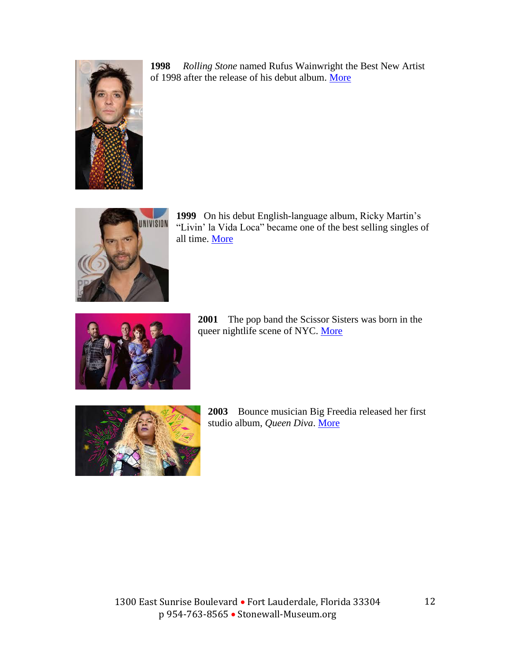

**1998** *Rolling Stone* named Rufus Wainwright the Best New Artist of 1998 after the release of his debut album. [More](https://variety.com/2018/music/news/rufus-wainwrights-career-at-20-a-tour-previewing-oral-history-1203024009/)



**1999** On his debut English-language album, Ricky Martin's "Livin' la Vida Loca" became one of the best selling singles of all time. [More](https://www.billboard.com/articles/columns/latin/8513539/ricky-martin-livin-la-vida-loca-lyrics)



**2001** The pop band the Scissor Sisters was born in the queer nightlife scene of NYC. [More](https://www.udiscovermusic.com/stories/scissor-sisters-resurrected-queer-pop/)



**2003** Bounce musician Big Freedia released her first studio album, *Queen Diva*. [More](https://www.gq.com/story/big-freedia-profile)